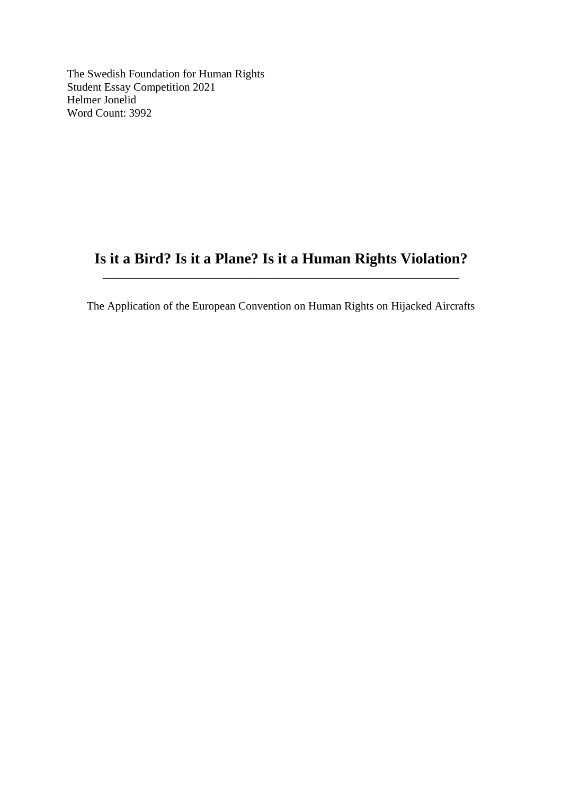The Swedish Foundation for Human Rights Student Essay Competition 2021 Helmer Jonelid Word Count: 3992

## **Is it a Bird? Is it a Plane? Is it a Human Rights Violation?** \_\_\_\_\_\_\_\_\_\_\_\_\_\_\_\_\_\_\_\_\_\_\_\_\_\_\_\_\_\_\_\_\_\_\_\_\_\_\_\_\_\_\_\_\_\_\_\_\_\_\_\_\_\_\_\_\_\_\_\_\_\_\_

The Application of the European Convention on Human Rights on Hijacked Aircrafts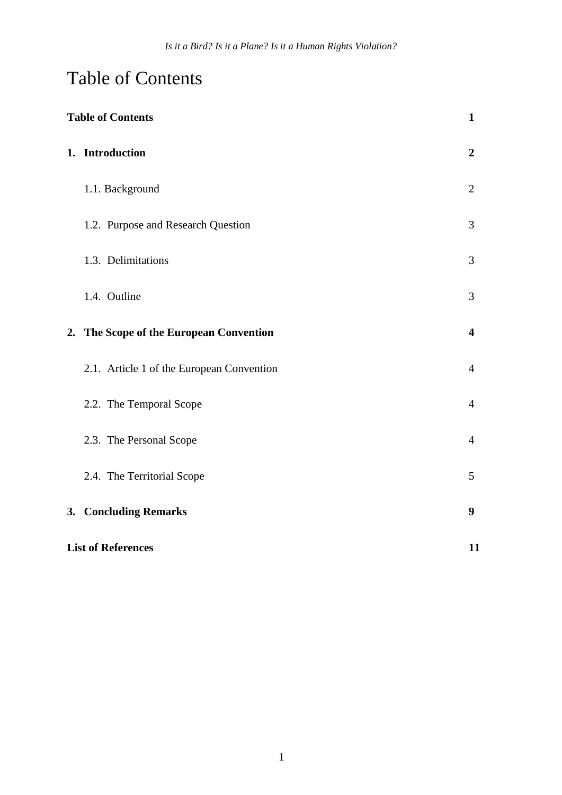# Table of Contents

| <b>Table of Contents</b> |                                           | $\mathbf{1}$            |
|--------------------------|-------------------------------------------|-------------------------|
|                          | 1. Introduction                           | $\boldsymbol{2}$        |
|                          | 1.1. Background                           | $\overline{2}$          |
|                          | 1.2. Purpose and Research Question        | 3                       |
|                          | 1.3. Delimitations                        | 3                       |
|                          | 1.4. Outline                              | 3                       |
|                          | 2. The Scope of the European Convention   | $\overline{\mathbf{4}}$ |
|                          | 2.1. Article 1 of the European Convention | $\overline{4}$          |
|                          | 2.2. The Temporal Scope                   | $\overline{4}$          |
|                          | 2.3. The Personal Scope                   | $\overline{4}$          |
|                          | 2.4. The Territorial Scope                | 5                       |
|                          | 3. Concluding Remarks                     | 9                       |
|                          | <b>List of References</b>                 |                         |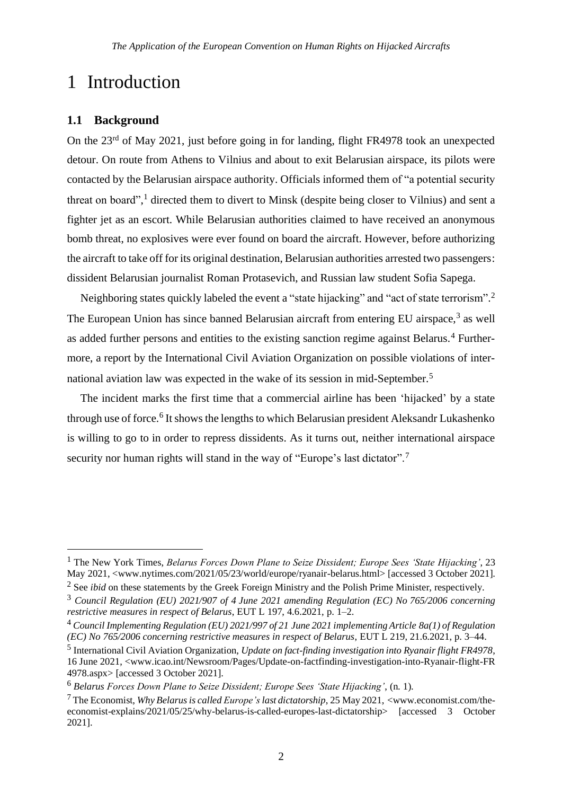## 1 Introduction

## **1.1 Background**

On the 23<sup>rd</sup> of May 2021, just before going in for landing, flight FR4978 took an unexpected detour. On route from Athens to Vilnius and about to exit Belarusian airspace, its pilots were contacted by the Belarusian airspace authority. Officials informed them of "a potential security threat on board", <sup>1</sup> directed them to divert to Minsk (despite being closer to Vilnius) and sent a fighter jet as an escort. While Belarusian authorities claimed to have received an anonymous bomb threat, no explosives were ever found on board the aircraft. However, before authorizing the aircraft to take off for its original destination, Belarusian authorities arrested two passengers: dissident Belarusian journalist Roman Protasevich, and Russian law student Sofia Sapega.

Neighboring states quickly labeled the event a "state hijacking" and "act of state terrorism".<sup>2</sup> The European Union has since banned Belarusian aircraft from entering EU airspace,<sup>3</sup> as well as added further persons and entities to the existing sanction regime against Belarus.<sup>4</sup> Furthermore, a report by the International Civil Aviation Organization on possible violations of international aviation law was expected in the wake of its session in mid-September.<sup>5</sup>

The incident marks the first time that a commercial airline has been 'hijacked' by a state through use of force.<sup>6</sup> It shows the lengths to which Belarusian president Aleksandr Lukashenko is willing to go to in order to repress dissidents. As it turns out, neither international airspace security nor human rights will stand in the way of "Europe's last dictator".<sup>7</sup>

<sup>1</sup> The New York Times, *Belarus Forces Down Plane to Seize Dissident; Europe Sees 'State Hijacking'*, 23 May 2021, <www.nytimes.com/2021/05/23/world/europe/ryanair-belarus.html> [accessed 3 October 2021].

<sup>&</sup>lt;sup>2</sup> See *ibid* on these statements by the Greek Foreign Ministry and the Polish Prime Minister, respectively.

<sup>3</sup> *Council Regulation (EU) 2021/907 of 4 June 2021 amending Regulation (EC) No 765/2006 concerning restrictive measures in respect of Belarus*, EUT L 197, 4.6.2021, p. 1–2.

<sup>4</sup> *Council Implementing Regulation (EU) 2021/997 of 21 June 2021 implementing Article 8a(1) of Regulation (EC) No 765/2006 concerning restrictive measures in respect of Belarus*, EUT L 219, 21.6.2021, p. 3–44.

<sup>5</sup> International Civil Aviation Organization, *Update on fact-finding investigation into Ryanair flight FR4978*, 16 June 2021, <www.icao.int/Newsroom/Pages/Update-on-factfinding-investigation-into-Ryanair-flight-FR 4978.aspx> [accessed 3 October 2021].

<sup>6</sup> *Belarus Forces Down Plane to Seize Dissident; Europe Sees 'State Hijacking'*, (n. 1).

<sup>7</sup> The Economist, *Why Belarusis called Europe'slast dictatorship*, 25 May 2021, <www.economist.com/theeconomist-explains/2021/05/25/why-belarus-is-called-europes-last-dictatorship> [accessed 3 October 2021].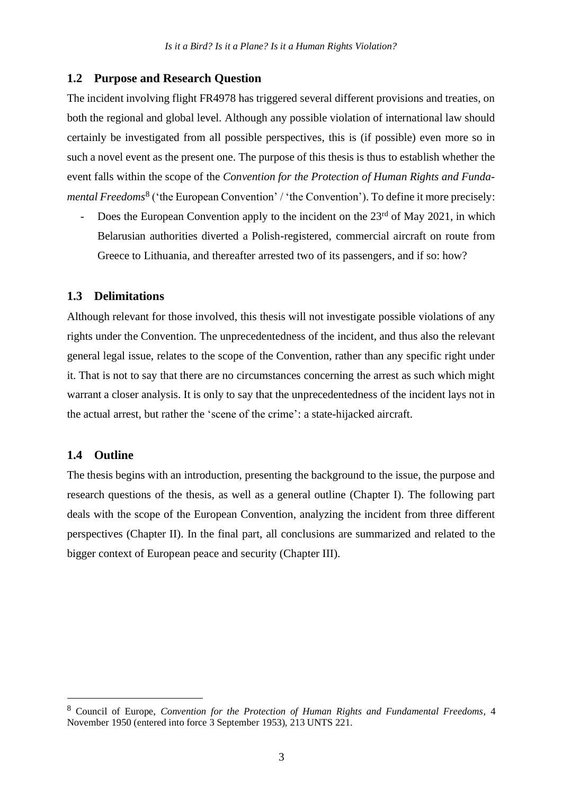### **1.2 Purpose and Research Question**

The incident involving flight FR4978 has triggered several different provisions and treaties, on both the regional and global level. Although any possible violation of international law should certainly be investigated from all possible perspectives, this is (if possible) even more so in such a novel event as the present one. The purpose of this thesis is thus to establish whether the event falls within the scope of the *Convention for the Protection of Human Rights and Funda*mental Freedoms<sup>8</sup> ('the European Convention' / 'the Convention'). To define it more precisely:

Does the European Convention apply to the incident on the  $23<sup>rd</sup>$  of May 2021, in which Belarusian authorities diverted a Polish-registered, commercial aircraft on route from Greece to Lithuania, and thereafter arrested two of its passengers, and if so: how?

### **1.3 Delimitations**

Although relevant for those involved, this thesis will not investigate possible violations of any rights under the Convention. The unprecedentedness of the incident, and thus also the relevant general legal issue, relates to the scope of the Convention, rather than any specific right under it. That is not to say that there are no circumstances concerning the arrest as such which might warrant a closer analysis. It is only to say that the unprecedentedness of the incident lays not in the actual arrest, but rather the 'scene of the crime': a state-hijacked aircraft.

### **1.4 Outline**

The thesis begins with an introduction, presenting the background to the issue, the purpose and research questions of the thesis, as well as a general outline (Chapter I). The following part deals with the scope of the European Convention, analyzing the incident from three different perspectives (Chapter II). In the final part, all conclusions are summarized and related to the bigger context of European peace and security (Chapter III).

<sup>8</sup> Council of Europe, *Convention for the Protection of Human Rights and Fundamental Freedoms*, 4 November 1950 (entered into force 3 September 1953), 213 UNTS 221.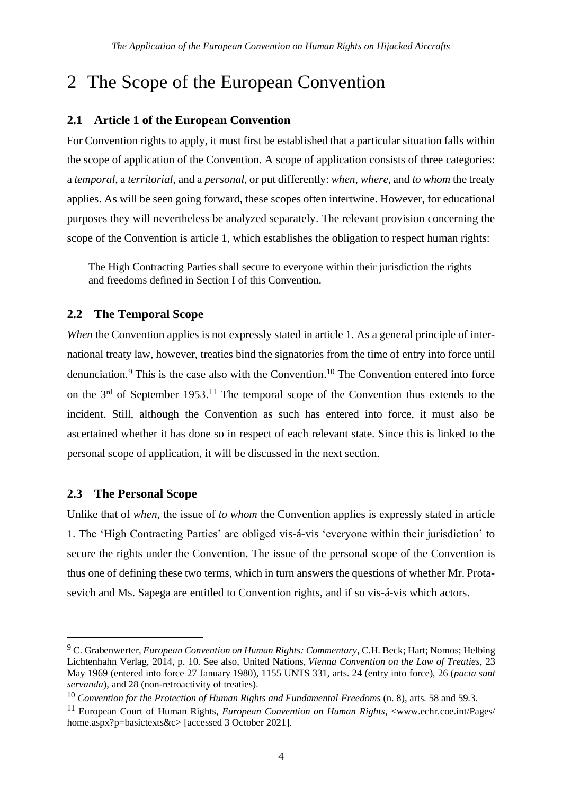# 2 The Scope of the European Convention

## **2.1 Article 1 of the European Convention**

For Convention rights to apply, it must first be established that a particular situation falls within the scope of application of the Convention. A scope of application consists of three categories: a *temporal*, a *territorial*, and a *personal*, or put differently: *when*, *where*, and *to whom* the treaty applies. As will be seen going forward, these scopes often intertwine. However, for educational purposes they will nevertheless be analyzed separately. The relevant provision concerning the scope of the Convention is article 1, which establishes the obligation to respect human rights:

The High Contracting Parties shall secure to everyone within their jurisdiction the rights and freedoms defined in Section I of this Convention.

## **2.2 The Temporal Scope**

*When* the Convention applies is not expressly stated in article 1. As a general principle of international treaty law, however, treaties bind the signatories from the time of entry into force until denunciation.<sup>9</sup> This is the case also with the Convention.<sup>10</sup> The Convention entered into force on the  $3<sup>rd</sup>$  of September 1953.<sup>11</sup> The temporal scope of the Convention thus extends to the incident. Still, although the Convention as such has entered into force, it must also be ascertained whether it has done so in respect of each relevant state. Since this is linked to the personal scope of application, it will be discussed in the next section.

## **2.3 The Personal Scope**

Unlike that of *when*, the issue of *to whom* the Convention applies is expressly stated in article 1. The 'High Contracting Parties' are obliged vis-á-vis 'everyone within their jurisdiction' to secure the rights under the Convention. The issue of the personal scope of the Convention is thus one of defining these two terms, which in turn answers the questions of whether Mr. Protasevich and Ms. Sapega are entitled to Convention rights, and if so vis-á-vis which actors.

<sup>9</sup> C. Grabenwerter, *European Convention on Human Rights: Commentary*, C.H. Beck; Hart; Nomos; Helbing Lichtenhahn Verlag, 2014, p. 10. See also, United Nations, *Vienna Convention on the Law of Treaties*, 23 May 1969 (entered into force 27 January 1980), 1155 UNTS 331, arts. 24 (entry into force), 26 (*pacta sunt servanda*), and 28 (non-retroactivity of treaties).

<sup>10</sup> *Convention for the Protection of Human Rights and Fundamental Freedoms* (n. 8), arts. 58 and 59.3.

<sup>11</sup> European Court of Human Rights, *European Convention on Human Rights*, <www.echr.coe.int/Pages/ home.aspx?p=basictexts&c> [accessed 3 October 2021].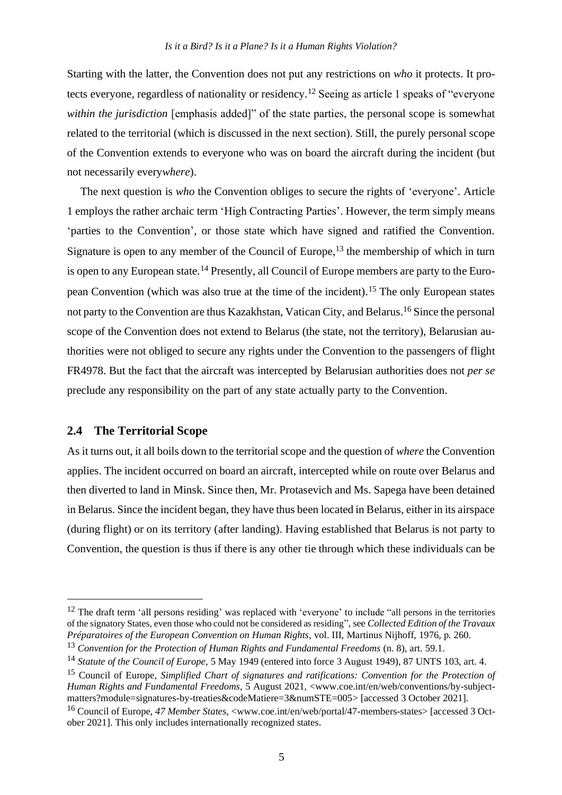Starting with the latter, the Convention does not put any restrictions on *who* it protects. It protects everyone, regardless of nationality or residency.<sup>12</sup> Seeing as article 1 speaks of "everyone *within the jurisdiction* [emphasis added]" of the state parties, the personal scope is somewhat related to the territorial (which is discussed in the next section). Still, the purely personal scope of the Convention extends to everyone who was on board the aircraft during the incident (but not necessarily every*where*).

The next question is *who* the Convention obliges to secure the rights of 'everyone'. Article 1 employs the rather archaic term 'High Contracting Parties'. However, the term simply means 'parties to the Convention', or those state which have signed and ratified the Convention. Signature is open to any member of the Council of Europe,<sup>13</sup> the membership of which in turn is open to any European state.<sup>14</sup> Presently, all Council of Europe members are party to the European Convention (which was also true at the time of the incident). <sup>15</sup> The only European states not party to the Convention are thus Kazakhstan, Vatican City, and Belarus. <sup>16</sup> Since the personal scope of the Convention does not extend to Belarus (the state, not the territory), Belarusian authorities were not obliged to secure any rights under the Convention to the passengers of flight FR4978. But the fact that the aircraft was intercepted by Belarusian authorities does not *per se* preclude any responsibility on the part of any state actually party to the Convention.

## **2.4 The Territorial Scope**

As it turns out, it all boils down to the territorial scope and the question of *where* the Convention applies. The incident occurred on board an aircraft, intercepted while on route over Belarus and then diverted to land in Minsk. Since then, Mr. Protasevich and Ms. Sapega have been detained in Belarus. Since the incident began, they have thus been located in Belarus, either in its airspace (during flight) or on its territory (after landing). Having established that Belarus is not party to Convention, the question is thus if there is any other tie through which these individuals can be

 $12$  The draft term 'all persons residing' was replaced with 'everyone' to include "all persons in the territories of the signatory States, even those who could not be considered as residing", see *Collected Edition of the Travaux Préparatoires of the European Convention on Human Rights*, vol. III, Martinus Nijhoff, 1976, p. 260.

<sup>13</sup> *Convention for the Protection of Human Rights and Fundamental Freedoms* (n. 8), art. 59.1.

<sup>14</sup> *Statute of the Council of Europe*, 5 May 1949 (entered into force 3 August 1949), 87 UNTS 103, art. 4.

<sup>15</sup> Council of Europe, *Simplified Chart of signatures and ratifications: Convention for the Protection of Human Rights and Fundamental Freedoms*, 5 August 2021, <www.coe.int/en/web/conventions/by-subjectmatters?module=signatures-by-treaties&codeMatiere=3&numSTE=005> [accessed 3 October 2021].

<sup>16</sup> Council of Europe, *47 Member States*, <www.coe.int/en/web/portal/47-members-states> [accessed 3 October 2021]. This only includes internationally recognized states.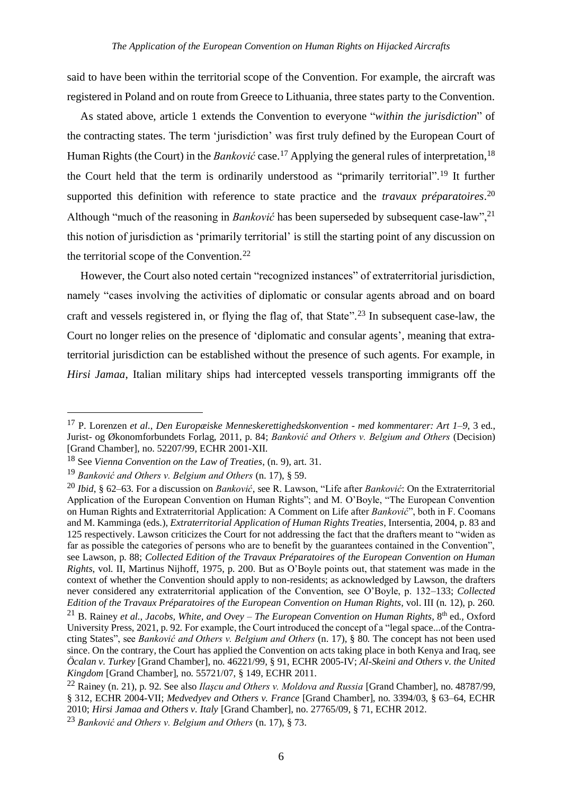said to have been within the territorial scope of the Convention. For example, the aircraft was registered in Poland and on route from Greece to Lithuania, three states party to the Convention.

As stated above, article 1 extends the Convention to everyone "*within the jurisdiction*" of the contracting states. The term 'jurisdiction' was first truly defined by the European Court of Human Rights (the Court) in the *Banković* case.<sup>17</sup> Applying the general rules of interpretation, <sup>18</sup> the Court held that the term is ordinarily understood as "primarily territorial".<sup>19</sup> It further supported this definition with reference to state practice and the *travaux préparatoires*. 20 Although "much of the reasoning in *Banković* has been superseded by subsequent case-law",<sup>21</sup> this notion of jurisdiction as 'primarily territorial' is still the starting point of any discussion on the territorial scope of the Convention. $^{22}$ 

However, the Court also noted certain "recognized instances" of extraterritorial jurisdiction, namely "cases involving the activities of diplomatic or consular agents abroad and on board craft and vessels registered in, or flying the flag of, that State".<sup>23</sup> In subsequent case-law, the Court no longer relies on the presence of 'diplomatic and consular agents', meaning that extraterritorial jurisdiction can be established without the presence of such agents. For example, in *Hirsi Jamaa*, Italian military ships had intercepted vessels transporting immigrants off the

<sup>17</sup> P. Lorenzen *et al.*, *Den Europæiske Menneskerettighedskonvention - med kommentarer: Art 1–9*, 3 ed., Jurist- og Økonomforbundets Forlag, 2011, p. 84; *Banković and Others v. Belgium and Others* (Decision) [Grand Chamber], no. 52207/99, ECHR 2001-XII.

<sup>18</sup> See *Vienna Convention on the Law of Treaties*, (n. 9), art. 31.

<sup>19</sup> *Banković and Others v. Belgium and Others* (n. 17), § 59.

<sup>20</sup> *Ibid*, § 62–63. For a discussion on *Banković*, see R. Lawson, "Life after *Banković*: On the Extraterritorial Application of the European Convention on Human Rights"; and M. O'Boyle, "The European Convention on Human Rights and Extraterritorial Application: A Comment on Life after *Banković*", both in F. Coomans and M. Kamminga (eds.), *Extraterritorial Application of Human Rights Treaties*, Intersentia, 2004, p. 83 and 125 respectively. Lawson criticizes the Court for not addressing the fact that the drafters meant to "widen as far as possible the categories of persons who are to benefit by the guarantees contained in the Convention", see Lawson, p. 88; *Collected Edition of the Travaux Préparatoires of the European Convention on Human Rights*, vol. II, Martinus Nijhoff, 1975, p. 200. But as O'Boyle points out, that statement was made in the context of whether the Convention should apply to non-residents; as acknowledged by Lawson, the drafters never considered any extraterritorial application of the Convention, see O'Boyle, p. 132–133; *Collected Edition of the Travaux Préparatoires of the European Convention on Human Rights*, vol. III (n. 12), p. 260. <sup>21</sup> B. Rainey *et al.*, *Jacobs, White, and Ovey – The European Convention on Human Rights*, 8th ed., Oxford University Press, 2021, p. 92. For example, the Court introduced the concept of a "legal space...of the Contracting States", see *Banković and Others v. Belgium and Others* (n. 17), § 80. The concept has not been used since. On the contrary, the Court has applied the Convention on acts taking place in both Kenya and Iraq, see *Öcalan v. Turkey* [Grand Chamber], no. 46221/99, § 91, ECHR 2005-IV; *Al-Skeini and Others v. the United Kingdom* [Grand Chamber], no. 55721/07, § 149, ECHR 2011.

<sup>22</sup> Rainey (n. 21), p. 92. See also *Ilaşcu and Others v. Moldova and Russia* [Grand Chamber], no. 48787/99, § 312, ECHR 2004-VII; *Medvedyev and Others v. France* [Grand Chamber], no. 3394/03, § 63–64, ECHR 2010; *Hirsi Jamaa and Others v. Italy* [Grand Chamber], no. 27765/09, § 71, ECHR 2012.

<sup>23</sup> *Banković and Others v. Belgium and Others* (n. 17), § 73.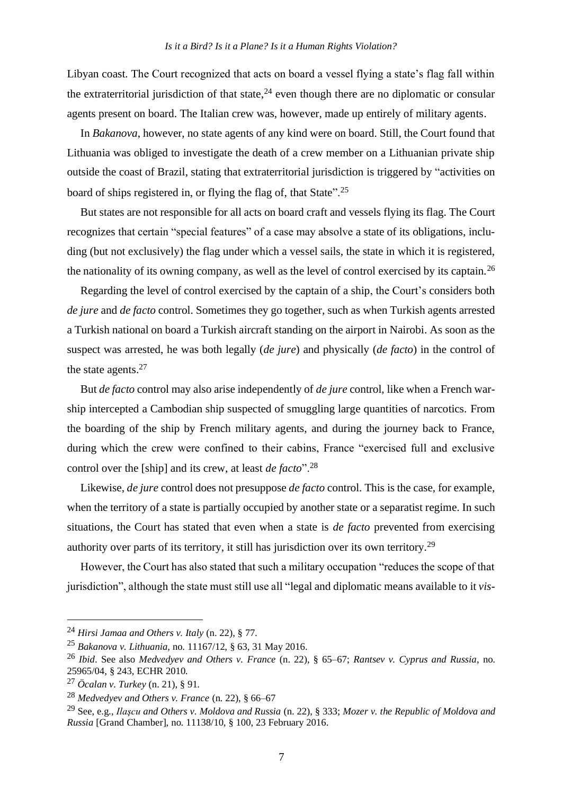Libyan coast. The Court recognized that acts on board a vessel flying a state's flag fall within the extraterritorial jurisdiction of that state,  $24$  even though there are no diplomatic or consular agents present on board. The Italian crew was, however, made up entirely of military agents.

In *Bakanova*, however, no state agents of any kind were on board. Still, the Court found that Lithuania was obliged to investigate the death of a crew member on a Lithuanian private ship outside the coast of Brazil, stating that extraterritorial jurisdiction is triggered by "activities on board of ships registered in, or flying the flag of, that State".<sup>25</sup>

But states are not responsible for all acts on board craft and vessels flying its flag. The Court recognizes that certain "special features" of a case may absolve a state of its obligations, including (but not exclusively) the flag under which a vessel sails, the state in which it is registered, the nationality of its owning company, as well as the level of control exercised by its captain.<sup>26</sup>

Regarding the level of control exercised by the captain of a ship, the Court's considers both *de jure* and *de facto* control. Sometimes they go together, such as when Turkish agents arrested a Turkish national on board a Turkish aircraft standing on the airport in Nairobi. As soon as the suspect was arrested, he was both legally (*de jure*) and physically (*de facto*) in the control of the state agents.<sup>27</sup>

But *de facto* control may also arise independently of *de jure* control, like when a French warship intercepted a Cambodian ship suspected of smuggling large quantities of narcotics. From the boarding of the ship by French military agents, and during the journey back to France, during which the crew were confined to their cabins, France "exercised full and exclusive control over the [ship] and its crew, at least *de facto*".<sup>28</sup>

Likewise, *de jure* control does not presuppose *de facto* control. This is the case, for example, when the territory of a state is partially occupied by another state or a separatist regime. In such situations, the Court has stated that even when a state is *de facto* prevented from exercising authority over parts of its territory, it still has jurisdiction over its own territory.<sup>29</sup>

However, the Court has also stated that such a military occupation "reduces the scope of that jurisdiction", although the state must still use all "legal and diplomatic means available to it *vis-*

<sup>24</sup> *Hirsi Jamaa and Others v. Italy* (n. 22), § 77.

<sup>25</sup> *Bakanova v. Lithuania*, no. 11167/12, § 63, 31 May 2016.

<sup>26</sup> *Ibid*. See also *Medvedyev and Others v. France* (n. 22), § 65–67; *Rantsev v. Cyprus and Russia*, no. 25965/04, § 243, ECHR 2010.

<sup>27</sup> *Öcalan v. Turkey* (n. 21), § 91.

<sup>28</sup> *Medvedyev and Others v. France* (n. 22), § 66–67

<sup>29</sup> See, e.g., *Ilaşcu and Others v. Moldova and Russia* (n. 22), § 333; *Mozer v. the Republic of Moldova and Russia* [Grand Chamber], no. 11138/10, § 100, 23 February 2016.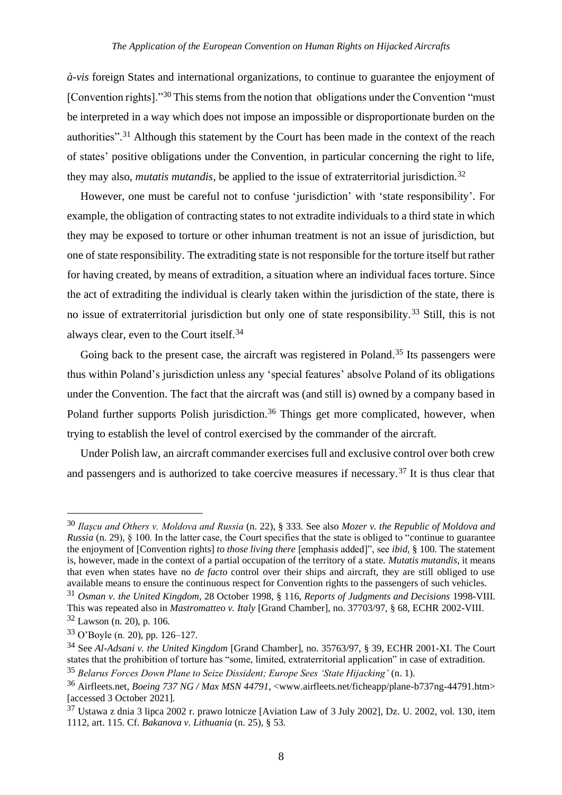*à-vis* foreign States and international organizations, to continue to guarantee the enjoyment of [Convention rights]."<sup>30</sup> This stems from the notion that obligations under the Convention "must" be interpreted in a way which does not impose an impossible or disproportionate burden on the authorities".<sup>31</sup> Although this statement by the Court has been made in the context of the reach of states' positive obligations under the Convention, in particular concerning the right to life, they may also, *mutatis mutandis*, be applied to the issue of extraterritorial jurisdiction.<sup>32</sup>

However, one must be careful not to confuse 'jurisdiction' with 'state responsibility'. For example, the obligation of contracting states to not extradite individuals to a third state in which they may be exposed to torture or other inhuman treatment is not an issue of jurisdiction, but one of state responsibility. The extraditing state is not responsible for the torture itself but rather for having created, by means of extradition, a situation where an individual faces torture. Since the act of extraditing the individual is clearly taken within the jurisdiction of the state, there is no issue of extraterritorial jurisdiction but only one of state responsibility.<sup>33</sup> Still, this is not always clear, even to the Court itself.<sup>34</sup>

Going back to the present case, the aircraft was registered in Poland.<sup>35</sup> Its passengers were thus within Poland's jurisdiction unless any 'special features' absolve Poland of its obligations under the Convention. The fact that the aircraft was (and still is) owned by a company based in Poland further supports Polish jurisdiction.<sup>36</sup> Things get more complicated, however, when trying to establish the level of control exercised by the commander of the aircraft.

Under Polish law, an aircraft commander exercises full and exclusive control over both crew and passengers and is authorized to take coercive measures if necessary.<sup>37</sup> It is thus clear that

<sup>30</sup> *Ilaşcu and Others v. Moldova and Russia* (n. 22), § 333. See also *Mozer v. the Republic of Moldova and Russia* (n. 29), § 100. In the latter case, the Court specifies that the state is obliged to "continue to guarantee the enjoyment of [Convention rights] *to those living there* [emphasis added]", see *ibid*, § 100. The statement is, however, made in the context of a partial occupation of the territory of a state. *Mutatis mutandis*, it means that even when states have no *de facto* control over their ships and aircraft, they are still obliged to use available means to ensure the continuous respect for Convention rights to the passengers of such vehicles.

<sup>31</sup> *Osman v. the United Kingdom*, 28 October 1998, § 116, *Reports of Judgments and Decisions* 1998-VIII. This was repeated also in *Mastromatteo v. Italy* [Grand Chamber], no. 37703/97, § 68, ECHR 2002-VIII. <sup>32</sup> Lawson (n. 20), p. 106.

<sup>33</sup> O'Boyle (n. 20), pp. 126–127.

<sup>34</sup> See *Al-Adsani v. the United Kingdom* [Grand Chamber], no. 35763/97, § 39, ECHR 2001-XI. The Court states that the prohibition of torture has "some, limited, extraterritorial application" in case of extradition.

<sup>35</sup> *Belarus Forces Down Plane to Seize Dissident; Europe Sees 'State Hijacking'* (n. 1).

<sup>36</sup> Airfleets.net, *Boeing 737 NG / Max MSN 44791*, <www.airfleets.net/ficheapp/plane-b737ng-44791.htm> [accessed 3 October 2021].

<sup>37</sup> Ustawa z dnia 3 lipca 2002 r. prawo lotnicze [Aviation Law of 3 July 2002], Dz. U. 2002, vol. 130, item 1112, art. 115. Cf. *Bakanova v. Lithuania* (n. 25), § 53.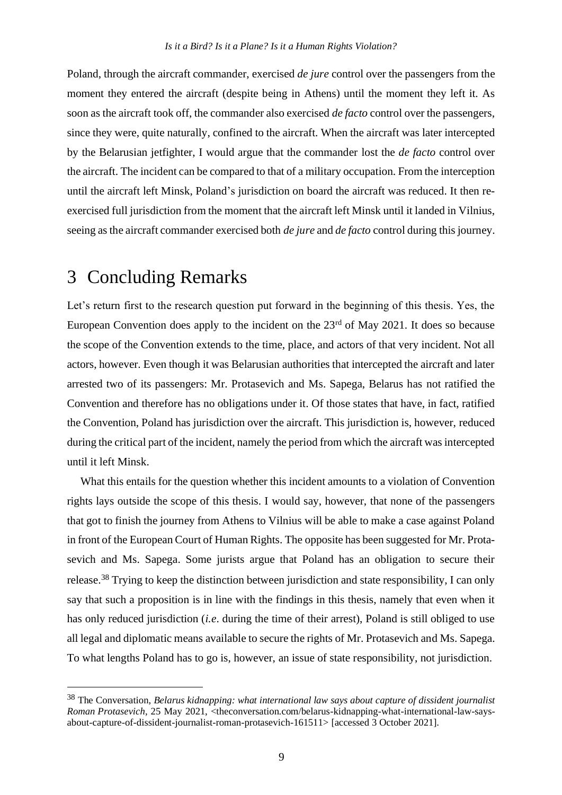Poland, through the aircraft commander, exercised *de jure* control over the passengers from the moment they entered the aircraft (despite being in Athens) until the moment they left it. As soon as the aircraft took off, the commander also exercised *de facto* control over the passengers, since they were, quite naturally, confined to the aircraft. When the aircraft was later intercepted by the Belarusian jetfighter, I would argue that the commander lost the *de facto* control over the aircraft. The incident can be compared to that of a military occupation. From the interception until the aircraft left Minsk, Poland's jurisdiction on board the aircraft was reduced. It then reexercised full jurisdiction from the moment that the aircraft left Minsk until it landed in Vilnius, seeing as the aircraft commander exercised both *de jure* and *de facto* control during this journey.

## 3 Concluding Remarks

Let's return first to the research question put forward in the beginning of this thesis. Yes, the European Convention does apply to the incident on the  $23<sup>rd</sup>$  of May 2021. It does so because the scope of the Convention extends to the time, place, and actors of that very incident. Not all actors, however. Even though it was Belarusian authorities that intercepted the aircraft and later arrested two of its passengers: Mr. Protasevich and Ms. Sapega, Belarus has not ratified the Convention and therefore has no obligations under it. Of those states that have, in fact, ratified the Convention, Poland has jurisdiction over the aircraft. This jurisdiction is, however, reduced during the critical part of the incident, namely the period from which the aircraft was intercepted until it left Minsk.

What this entails for the question whether this incident amounts to a violation of Convention rights lays outside the scope of this thesis. I would say, however, that none of the passengers that got to finish the journey from Athens to Vilnius will be able to make a case against Poland in front of the European Court of Human Rights. The opposite has been suggested for Mr. Protasevich and Ms. Sapega. Some jurists argue that Poland has an obligation to secure their release.<sup>38</sup> Trying to keep the distinction between jurisdiction and state responsibility, I can only say that such a proposition is in line with the findings in this thesis, namely that even when it has only reduced jurisdiction (*i.e*. during the time of their arrest), Poland is still obliged to use all legal and diplomatic means available to secure the rights of Mr. Protasevich and Ms. Sapega. To what lengths Poland has to go is, however, an issue of state responsibility, not jurisdiction.

<sup>38</sup> The Conversation, *Belarus kidnapping: what international law says about capture of dissident journalist Roman Protasevich*, 25 May 2021, <theconversation.com/belarus-kidnapping-what-international-law-saysabout-capture-of-dissident-journalist-roman-protasevich-161511> [accessed 3 October 2021].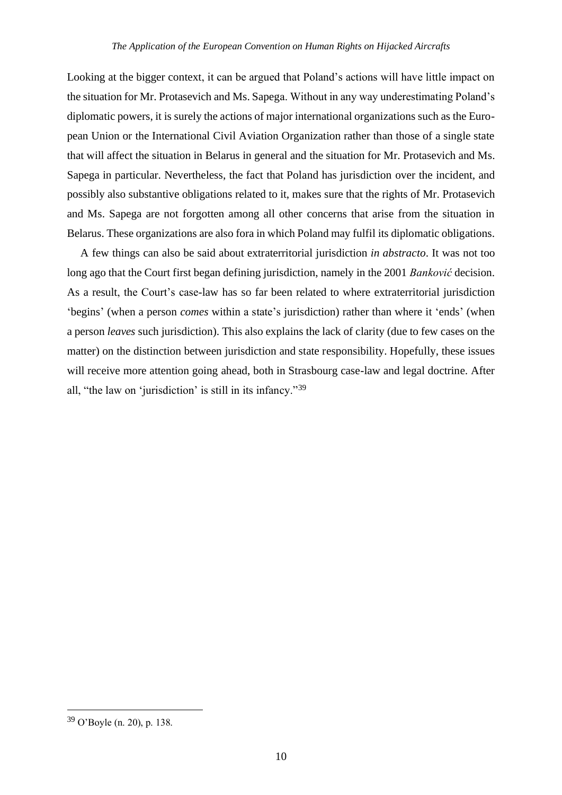Looking at the bigger context, it can be argued that Poland's actions will have little impact on the situation for Mr. Protasevich and Ms. Sapega. Without in any way underestimating Poland's diplomatic powers, it is surely the actions of major international organizations such as the European Union or the International Civil Aviation Organization rather than those of a single state that will affect the situation in Belarus in general and the situation for Mr. Protasevich and Ms. Sapega in particular. Nevertheless, the fact that Poland has jurisdiction over the incident, and possibly also substantive obligations related to it, makes sure that the rights of Mr. Protasevich and Ms. Sapega are not forgotten among all other concerns that arise from the situation in Belarus. These organizations are also fora in which Poland may fulfil its diplomatic obligations.

A few things can also be said about extraterritorial jurisdiction *in abstracto*. It was not too long ago that the Court first began defining jurisdiction, namely in the 2001 *Banković* decision. As a result, the Court's case-law has so far been related to where extraterritorial jurisdiction 'begins' (when a person *comes* within a state's jurisdiction) rather than where it 'ends' (when a person *leaves* such jurisdiction). This also explains the lack of clarity (due to few cases on the matter) on the distinction between jurisdiction and state responsibility. Hopefully, these issues will receive more attention going ahead, both in Strasbourg case-law and legal doctrine. After all, "the law on 'jurisdiction' is still in its infancy."<sup>39</sup>

<sup>39</sup> O'Boyle (n. 20), p. 138.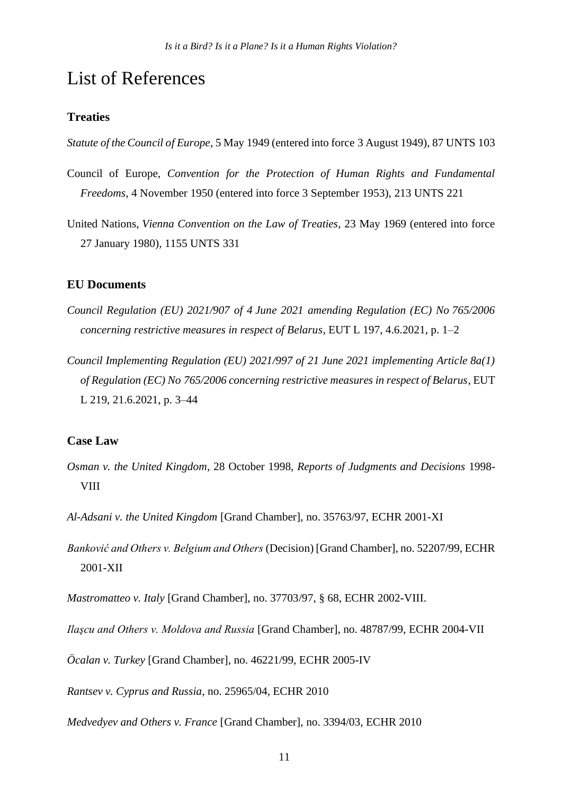## List of References

### **Treaties**

*Statute of the Council of Europe*, 5 May 1949 (entered into force 3 August 1949), 87 UNTS 103

- Council of Europe, *Convention for the Protection of Human Rights and Fundamental Freedoms*, 4 November 1950 (entered into force 3 September 1953), 213 UNTS 221
- United Nations, *Vienna Convention on the Law of Treaties*, 23 May 1969 (entered into force 27 January 1980), 1155 UNTS 331

## **EU Documents**

- *Council Regulation (EU) 2021/907 of 4 June 2021 amending Regulation (EC) No 765/2006 concerning restrictive measures in respect of Belarus*, EUT L 197, 4.6.2021, p. 1–2
- *Council Implementing Regulation (EU) 2021/997 of 21 June 2021 implementing Article 8a(1) of Regulation (EC) No 765/2006 concerning restrictive measures in respect of Belarus*, EUT L 219, 21.6.2021, p. 3–44

## **Case Law**

- *Osman v. the United Kingdom*, 28 October 1998, *Reports of Judgments and Decisions* 1998- VIII
- *Al-Adsani v. the United Kingdom* [Grand Chamber], no. 35763/97, ECHR 2001-XI
- *Banković and Others v. Belgium and Others* (Decision) [Grand Chamber], no. 52207/99, ECHR 2001-XII
- *Mastromatteo v. Italy* [Grand Chamber], no. 37703/97, § 68, ECHR 2002-VIII.

*Ilaşcu and Others v. Moldova and Russia* [Grand Chamber], no. 48787/99, ECHR 2004-VII

*Öcalan v. Turkey* [Grand Chamber], no. 46221/99, ECHR 2005-IV

*Rantsev v. Cyprus and Russia*, no. 25965/04, ECHR 2010

*Medvedyev and Others v. France* [Grand Chamber], no. 3394/03, ECHR 2010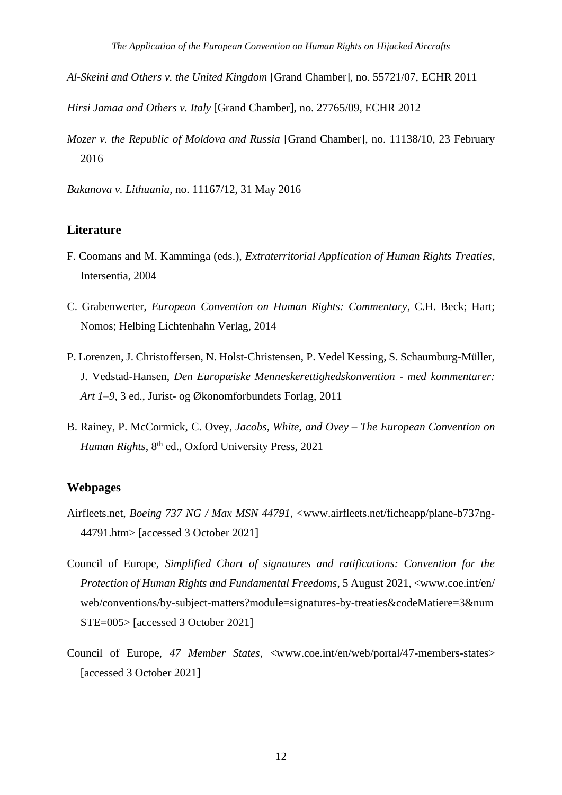- *Al-Skeini and Others v. the United Kingdom* [Grand Chamber], no. 55721/07, ECHR 2011
- *Hirsi Jamaa and Others v. Italy* [Grand Chamber], no. 27765/09, ECHR 2012
- *Mozer v. the Republic of Moldova and Russia* [Grand Chamber], no. 11138/10, 23 February 2016

*Bakanova v. Lithuania*, no. 11167/12, 31 May 2016

#### **Literature**

- F. Coomans and M. Kamminga (eds.), *Extraterritorial Application of Human Rights Treaties*, Intersentia, 2004
- C. Grabenwerter, *European Convention on Human Rights: Commentary*, C.H. Beck; Hart; Nomos; Helbing Lichtenhahn Verlag, 2014
- P. Lorenzen, J. Christoffersen, N. Holst-Christensen, P. Vedel Kessing, S. Schaumburg-Müller, J. Vedstad-Hansen, *Den Europæiske Menneskerettighedskonvention - med kommentarer: Art 1–9*, 3 ed., Jurist- og Økonomforbundets Forlag, 2011
- B. Rainey, P. McCormick, C. Ovey, *Jacobs, White, and Ovey – The European Convention on Human Rights*, 8<sup>th</sup> ed., Oxford University Press, 2021

#### **Webpages**

- Airfleets.net, *Boeing 737 NG / Max MSN 44791*, <www.airfleets.net/ficheapp/plane-b737ng-44791.htm> [accessed 3 October 2021]
- Council of Europe, *Simplified Chart of signatures and ratifications: Convention for the Protection of Human Rights and Fundamental Freedoms*, 5 August 2021, <www.coe.int/en/ web/conventions/by-subject-matters?module=signatures-by-treaties&codeMatiere=3&num STE=005> [accessed 3 October 2021]
- Council of Europe, *47 Member States*, <www.coe.int/en/web/portal/47-members-states> [accessed 3 October 2021]